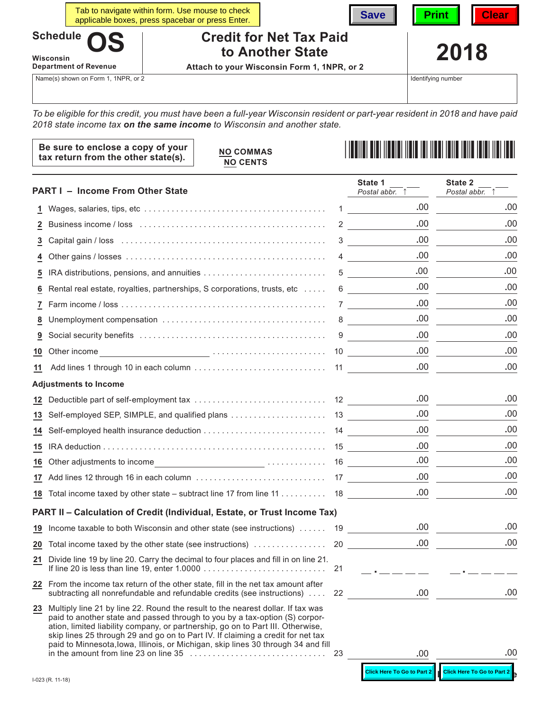|                              |  | Tab to navigate within form. Use mouse to check<br>applicable boxes, press spacebar or press Enter. |                                                    | Save | <b>Print</b> | <b>Clear</b> |
|------------------------------|--|-----------------------------------------------------------------------------------------------------|----------------------------------------------------|------|--------------|--------------|
| Schedule OS<br>Wisconsin     |  |                                                                                                     | <b>Credit for Net Tax Paid</b><br>to Another State |      | 2018         |              |
| <b>Department of Revenue</b> |  |                                                                                                     | Attach to your Wisconsin Form 1, 1NPR, or 2        |      |              |              |

Name(s) shown on Form 1, 1NPR, or 2

Identifying number

*To be eligible for this credit, you must have been a full-year Wisconsin resident or part-year resident in 2018 and have paid 2018 state income tax on the same income to Wisconsin and another state.*

| Be sure to enclose a copy of your<br>tax return from the other state(s). | <b>NO COMMAS</b><br><b>NO CENTS</b> | <u> I II dhe ka ka shekara mashari masharida masharida ma</u> |
|--------------------------------------------------------------------------|-------------------------------------|---------------------------------------------------------------|
|--------------------------------------------------------------------------|-------------------------------------|---------------------------------------------------------------|

|                 | <b>PART I - Income From Other State</b>                                                                                                                                                                                                                                                                                                                                                                                                                                       |    | State 1<br>Postal abbr.               | State 2<br>Postal abbr.           |
|-----------------|-------------------------------------------------------------------------------------------------------------------------------------------------------------------------------------------------------------------------------------------------------------------------------------------------------------------------------------------------------------------------------------------------------------------------------------------------------------------------------|----|---------------------------------------|-----------------------------------|
| 1.              |                                                                                                                                                                                                                                                                                                                                                                                                                                                                               | 1  | .00                                   | .00                               |
| 2               |                                                                                                                                                                                                                                                                                                                                                                                                                                                                               |    | .00<br>$2 \left( \frac{1}{2} \right)$ | .00                               |
| 3               |                                                                                                                                                                                                                                                                                                                                                                                                                                                                               | 3  | .00.                                  | .00                               |
| 4               |                                                                                                                                                                                                                                                                                                                                                                                                                                                                               | 4  | .00                                   | .00                               |
| 5               |                                                                                                                                                                                                                                                                                                                                                                                                                                                                               | 5  | .00                                   | .00                               |
| 6               | Rental real estate, royalties, partnerships, S corporations, trusts, etc                                                                                                                                                                                                                                                                                                                                                                                                      | 6  | .00                                   | .00                               |
| 7               |                                                                                                                                                                                                                                                                                                                                                                                                                                                                               | 7  | .00.                                  | .00                               |
| 8               |                                                                                                                                                                                                                                                                                                                                                                                                                                                                               | 8  | .00                                   | .00                               |
| 9               |                                                                                                                                                                                                                                                                                                                                                                                                                                                                               | 9  | .00                                   | .00                               |
| 10              | $\overbrace{ }$ $\overbrace{ }$ $\overbrace{ }$ $\overbrace{ }$ $\overbrace{ }$ $\overbrace{ }$ $\overbrace{ }$ $\overbrace{ }$ $\overbrace{ }$ $\overbrace{ }$ $\overbrace{ }$ $\overbrace{ }$ $\overbrace{ }$ $\overbrace{ }$ $\overbrace{ }$ $\overbrace{ }$ $\overbrace{ }$ $\overbrace{ }$ $\overbrace{ }$ $\overbrace{ }$ $\overbrace{ }$ $\overbrace{ }$ $\overbrace{ }$ $\overbrace{ }$ $\overbrace{ }$ $\overbrace{ }$ $\overbrace{ }$ $\overbrace{$<br>Other income |    | .00                                   | .00                               |
| 11              |                                                                                                                                                                                                                                                                                                                                                                                                                                                                               |    | .00                                   | .00                               |
|                 | <b>Adjustments to Income</b>                                                                                                                                                                                                                                                                                                                                                                                                                                                  |    |                                       |                                   |
| <u>12</u>       |                                                                                                                                                                                                                                                                                                                                                                                                                                                                               |    | .00                                   | .00                               |
| 13              |                                                                                                                                                                                                                                                                                                                                                                                                                                                                               |    | .00.                                  | .00                               |
| 14              |                                                                                                                                                                                                                                                                                                                                                                                                                                                                               |    | .00.                                  | .00                               |
| 15              |                                                                                                                                                                                                                                                                                                                                                                                                                                                                               |    | .00.                                  | .00                               |
| 16              |                                                                                                                                                                                                                                                                                                                                                                                                                                                                               |    | .00                                   | .00                               |
|                 |                                                                                                                                                                                                                                                                                                                                                                                                                                                                               |    | .00                                   | .00                               |
|                 | 18 Total income taxed by other state – subtract line 17 from line 11 18                                                                                                                                                                                                                                                                                                                                                                                                       |    | .00                                   | .00                               |
|                 | PART II - Calculation of Credit (Individual, Estate, or Trust Income Tax)                                                                                                                                                                                                                                                                                                                                                                                                     |    |                                       |                                   |
| <u>19</u>       | Income taxable to both Wisconsin and other state (see instructions)  19                                                                                                                                                                                                                                                                                                                                                                                                       |    | .00                                   | .00                               |
| $\overline{20}$ |                                                                                                                                                                                                                                                                                                                                                                                                                                                                               |    | .00.                                  | .00                               |
| <u>21</u>       | Divide line 19 by line 20. Carry the decimal to four places and fill in on line 21.                                                                                                                                                                                                                                                                                                                                                                                           |    | <u> 1999 - Jan James James</u>        |                                   |
|                 | 22 From the income tax return of the other state, fill in the net tax amount after<br>subtracting all nonrefundable and refundable credits (see instructions)                                                                                                                                                                                                                                                                                                                 | 22 | .00                                   | .00                               |
| $\overline{23}$ | Multiply line 21 by line 22. Round the result to the nearest dollar. If tax was<br>paid to another state and passed through to you by a tax-option (S) corpor-<br>ation, limited liability company, or partnership, go on to Part III. Otherwise,<br>skip lines 25 through 29 and go on to Part IV. If claiming a credit for net tax<br>paid to Minnesota, lowa, Illinois, or Michigan, skip lines 30 through 34 and fill                                                     | 23 | .00                                   | .00                               |
|                 |                                                                                                                                                                                                                                                                                                                                                                                                                                                                               |    |                                       |                                   |
|                 |                                                                                                                                                                                                                                                                                                                                                                                                                                                                               |    | <b>Click Here To Go to Part 2</b>     | <b>Click Here To Go to Part 2</b> |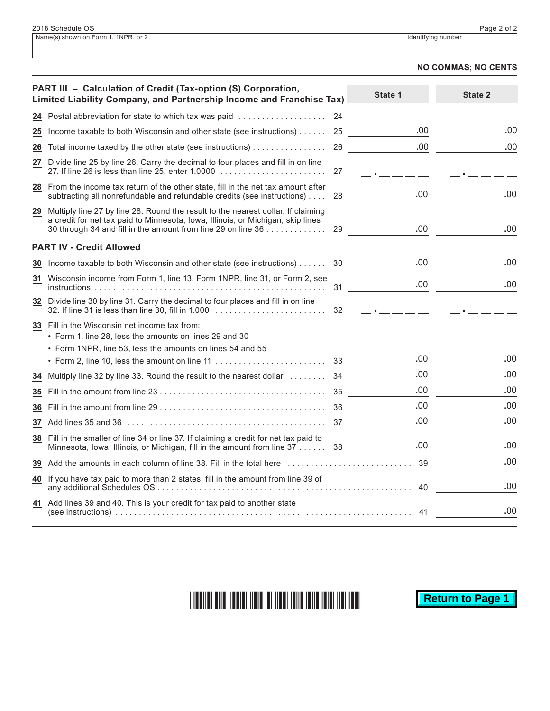## **NO COMMAS; NO CENTS**

|    | PART III - Calculation of Credit (Tax-option (S) Corporation,<br>Limited Liability Company, and Partnership Income and Franchise Tax)                                                                                               |    | State 1                                                                                                                                                                                                                                                                                                                                                                                                                                                                    | State 2 |
|----|-------------------------------------------------------------------------------------------------------------------------------------------------------------------------------------------------------------------------------------|----|----------------------------------------------------------------------------------------------------------------------------------------------------------------------------------------------------------------------------------------------------------------------------------------------------------------------------------------------------------------------------------------------------------------------------------------------------------------------------|---------|
|    | 24 Postal abbreviation for state to which tax was paid                                                                                                                                                                              | 24 | $\frac{1}{2} \left( \frac{1}{2} \right) \left( \frac{1}{2} \right) \left( \frac{1}{2} \right) \left( \frac{1}{2} \right) \left( \frac{1}{2} \right) \left( \frac{1}{2} \right) \left( \frac{1}{2} \right) \left( \frac{1}{2} \right) \left( \frac{1}{2} \right) \left( \frac{1}{2} \right) \left( \frac{1}{2} \right) \left( \frac{1}{2} \right) \left( \frac{1}{2} \right) \left( \frac{1}{2} \right) \left( \frac{1}{2} \right) \left( \frac{1}{2} \right) \left( \frac$ |         |
| 25 | Income taxable to both Wisconsin and other state (see instructions)                                                                                                                                                                 |    | .00.<br>25                                                                                                                                                                                                                                                                                                                                                                                                                                                                 | .00     |
| 26 | Total income taxed by the other state (see instructions)                                                                                                                                                                            | 26 | .00.                                                                                                                                                                                                                                                                                                                                                                                                                                                                       | .00     |
|    | 27 Divide line 25 by line 26. Carry the decimal to four places and fill in on line                                                                                                                                                  | 27 | the company of the company                                                                                                                                                                                                                                                                                                                                                                                                                                                 |         |
|    | 28 From the income tax return of the other state, fill in the net tax amount after<br>subtracting all nonrefundable and refundable credits (see instructions)                                                                       | 28 | .00                                                                                                                                                                                                                                                                                                                                                                                                                                                                        | .00     |
| 29 | Multiply line 27 by line 28. Round the result to the nearest dollar. If claiming<br>a credit for net tax paid to Minnesota, Iowa, Illinois, or Michigan, skip lines<br>30 through 34 and fill in the amount from line 29 on line 36 | 29 | .00.                                                                                                                                                                                                                                                                                                                                                                                                                                                                       | .00     |
|    | <b>PART IV - Credit Allowed</b>                                                                                                                                                                                                     |    |                                                                                                                                                                                                                                                                                                                                                                                                                                                                            |         |
| 30 | Income taxable to both Wisconsin and other state (see instructions)                                                                                                                                                                 | 30 | .00                                                                                                                                                                                                                                                                                                                                                                                                                                                                        | .00     |
| 31 | Wisconsin income from Form 1, line 13, Form 1NPR, line 31, or Form 2, see                                                                                                                                                           |    | .00<br>31                                                                                                                                                                                                                                                                                                                                                                                                                                                                  | .00     |
|    | 32 Divide line 30 by line 31. Carry the decimal to four places and fill in on line<br>32. If line 31 is less than line 30, fill in 1.000                                                                                            | 32 | the company's company's com-                                                                                                                                                                                                                                                                                                                                                                                                                                               |         |
|    | <b>33</b> Fill in the Wisconsin net income tax from:<br>• Form 1, line 28, less the amounts on lines 29 and 30                                                                                                                      |    |                                                                                                                                                                                                                                                                                                                                                                                                                                                                            |         |
|    | • Form 1NPR, line 53, less the amounts on lines 54 and 55                                                                                                                                                                           |    |                                                                                                                                                                                                                                                                                                                                                                                                                                                                            |         |
|    |                                                                                                                                                                                                                                     |    | .00                                                                                                                                                                                                                                                                                                                                                                                                                                                                        | .00     |
| 34 | Multiply line 32 by line 33. Round the result to the nearest dollar  34                                                                                                                                                             |    | .00.                                                                                                                                                                                                                                                                                                                                                                                                                                                                       | .00     |
| 35 |                                                                                                                                                                                                                                     |    | .00.                                                                                                                                                                                                                                                                                                                                                                                                                                                                       | .00     |
| 36 |                                                                                                                                                                                                                                     |    | .00.                                                                                                                                                                                                                                                                                                                                                                                                                                                                       | .00     |
| 37 |                                                                                                                                                                                                                                     |    | .00                                                                                                                                                                                                                                                                                                                                                                                                                                                                        | .00     |
|    | 38 Fill in the smaller of line 34 or line 37. If claiming a credit for net tax paid to<br>Minnesota, Iowa, Illinois, or Michigan, fill in the amount from line 37 38                                                                |    | .00.                                                                                                                                                                                                                                                                                                                                                                                                                                                                       | .00     |
| 39 | Add the amounts in each column of line 38. Fill in the total here                                                                                                                                                                   |    | 39                                                                                                                                                                                                                                                                                                                                                                                                                                                                         | .00.    |
|    | 40 If you have tax paid to more than 2 states, fill in the amount from line 39 of                                                                                                                                                   |    | 40                                                                                                                                                                                                                                                                                                                                                                                                                                                                         | .00     |
|    | 41 Add lines 39 and 40. This is your credit for tax paid to another state                                                                                                                                                           |    | 41                                                                                                                                                                                                                                                                                                                                                                                                                                                                         | .00     |

# 

**Return to Page 1**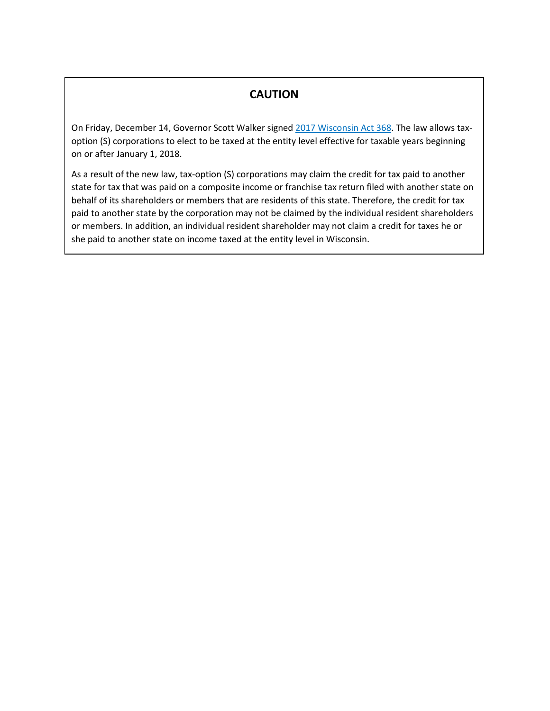## **CAUTION**

On Friday, December 14, Governor Scott Walker signed [2017 Wisconsin Act 368.](https://docs.legis.wisconsin.gov/2017/related/acts/368.pdf) The law allows taxoption (S) corporations to elect to be taxed at the entity level effective for taxable years beginning on or after January 1, 2018.

As a result of the new law, tax-option (S) corporations may claim the credit for tax paid to another state for tax that was paid on a composite income or franchise tax return filed with another state on behalf of its shareholders or members that are residents of this state. Therefore, the credit for tax paid to another state by the corporation may not be claimed by the individual resident shareholders or members. In addition, an individual resident shareholder may not claim a credit for taxes he or she paid to another state on income taxed at the entity level in Wisconsin.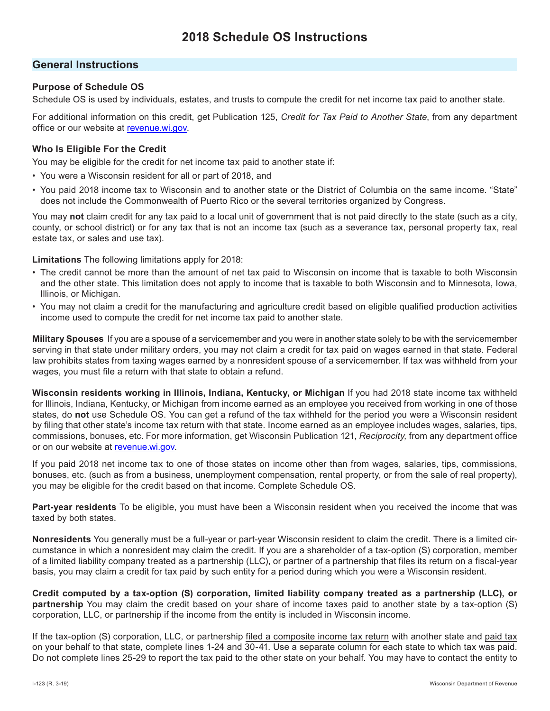## **General Instructions**

## **Purpose of Schedule OS**

Schedule OS is used by individuals, estates, and trusts to compute the credit for net income tax paid to another state.

For additional information on this credit, get Publication 125, *Credit for Tax Paid to Another State*, from any department office or our website at [revenue.wi.gov.](https://www.revenue.wi.gov)

## **Who Is Eligible For the Credit**

You may be eligible for the credit for net income tax paid to another state if:

- You were a Wisconsin resident for all or part of 2018, and
- You paid 2018 income tax to Wisconsin and to another state or the District of Columbia on the same income. "State" does not include the Commonwealth of Puerto Rico or the several territories organized by Congress.

You may **not** claim credit for any tax paid to a local unit of government that is not paid directly to the state (such as a city, county, or school district) or for any tax that is not an income tax (such as a severance tax, personal property tax, real estate tax, or sales and use tax).

**Limitations** The following limitations apply for 2018:

- The credit cannot be more than the amount of net tax paid to Wisconsin on income that is taxable to both Wisconsin and the other state. This limitation does not apply to income that is taxable to both Wisconsin and to Minnesota, Iowa, Illinois, or Michigan.
- You may not claim a credit for the manufacturing and agriculture credit based on eligible qualified production activities income used to compute the credit for net income tax paid to another state.

**Military Spouses** If you are a spouse of a servicemember and you were in another state solely to be with the servicemember serving in that state under military orders, you may not claim a credit for tax paid on wages earned in that state. Federal law prohibits states from taxing wages earned by a nonresident spouse of a servicemember. If tax was withheld from your wages, you must file a return with that state to obtain a refund.

**Wisconsin residents working in Illinois, Indiana, Kentucky, or Michigan** If you had 2018 state income tax withheld for Illinois, Indiana, Kentucky, or Michigan from income earned as an employee you received from working in one of those states, do **not** use Schedule OS. You can get a refund of the tax withheld for the period you were a Wisconsin resident by filing that other state's income tax return with that state. Income earned as an employee includes wages, salaries, tips, commissions, bonuses, etc. For more information, get Wisconsin Publication 121, *Reciprocity,* from any department office or on our website at [revenue.wi.gov](https://www.revenue.wi.gov).

If you paid 2018 net income tax to one of those states on income other than from wages, salaries, tips, commissions, bonuses, etc. (such as from a business, unemployment compensation, rental property, or from the sale of real property), you may be eligible for the credit based on that income. Complete Schedule OS.

**Part-year residents** To be eligible, you must have been a Wisconsin resident when you received the income that was taxed by both states.

**Nonresidents** You generally must be a full-year or part-year Wisconsin resident to claim the credit. There is a limited circumstance in which a nonresident may claim the credit. If you are a shareholder of a tax-option (S) corporation, member of a limited liability company treated as a partnership (LLC), or partner of a partnership that files its return on a fiscal-year basis, you may claim a credit for tax paid by such entity for a period during which you were a Wisconsin resident.

**Credit computed by a tax-option (S) corporation, limited liability company treated as a partnership (LLC), or partnership** You may claim the credit based on your share of income taxes paid to another state by a tax-option (S) corporation, LLC, or partnership if the income from the entity is included in Wisconsin income.

If the tax-option (S) corporation, LLC, or partnership filed a composite income tax return with another state and paid tax on your behalf to that state, complete lines 1-24 and 30-41. Use a separate column for each state to which tax was paid. Do not complete lines 25-29 to report the tax paid to the other state on your behalf. You may have to contact the entity to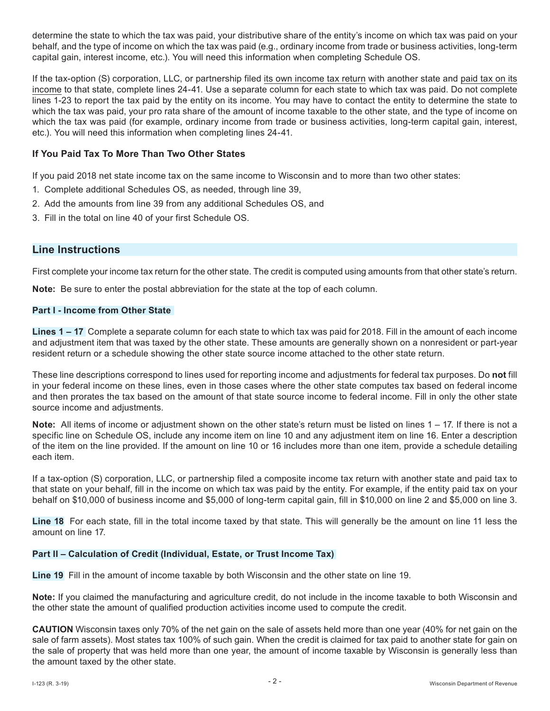determine the state to which the tax was paid, your distributive share of the entity's income on which tax was paid on your behalf, and the type of income on which the tax was paid (e.g., ordinary income from trade or business activities, long-term capital gain, interest income, etc.). You will need this information when completing Schedule OS.

If the tax-option (S) corporation, LLC, or partnership filed its own income tax return with another state and paid tax on its income to that state, complete lines 24-41. Use a separate column for each state to which tax was paid. Do not complete lines 1-23 to report the tax paid by the entity on its income. You may have to contact the entity to determine the state to which the tax was paid, your pro rata share of the amount of income taxable to the other state, and the type of income on which the tax was paid (for example, ordinary income from trade or business activities, long-term capital gain, interest, etc.). You will need this information when completing lines 24-41.

## **If You Paid Tax To More Than Two Other States**

If you paid 2018 net state income tax on the same income to Wisconsin and to more than two other states:

- 1. Complete additional Schedules OS, as needed, through line 39,
- 2. Add the amounts from line 39 from any additional Schedules OS, and
- 3. Fill in the total on line 40 of your first Schedule OS.

## **Line Instructions**

First complete your income tax return for the other state. The credit is computed using amounts from that other state's return.

**Note:** Be sure to enter the postal abbreviation for the state at the top of each column.

### **Part I - Income from Other State**

**Lines 1 – 17** Complete a separate column for each state to which tax was paid for 2018. Fill in the amount of each income and adjustment item that was taxed by the other state. These amounts are generally shown on a nonresident or part-year resident return or a schedule showing the other state source income attached to the other state return.

These line descriptions correspond to lines used for reporting income and adjustments for federal tax purposes. Do **not** fill in your federal income on these lines, even in those cases where the other state computes tax based on federal income and then prorates the tax based on the amount of that state source income to federal income. Fill in only the other state source income and adjustments.

**Note:** All items of income or adjustment shown on the other state's return must be listed on lines 1 – 17. If there is not a specific line on Schedule OS, include any income item on line 10 and any adjustment item on line 16. Enter a description of the item on the line provided. If the amount on line 10 or 16 includes more than one item, provide a schedule detailing each item.

If a tax-option (S) corporation, LLC, or partnership filed a composite income tax return with another state and paid tax to that state on your behalf, fill in the income on which tax was paid by the entity. For example, if the entity paid tax on your behalf on \$10,000 of business income and \$5,000 of long-term capital gain, fill in \$10,000 on line 2 and \$5,000 on line 3.

**Line 18** For each state, fill in the total income taxed by that state. This will generally be the amount on line 11 less the amount on line 17.

## **Part II – Calculation of Credit (Individual, Estate, or Trust Income Tax)**

**Line 19** Fill in the amount of income taxable by both Wisconsin and the other state on line 19.

**Note:** If you claimed the manufacturing and agriculture credit, do not include in the income taxable to both Wisconsin and the other state the amount of qualified production activities income used to compute the credit.

**CAUTION** Wisconsin taxes only 70% of the net gain on the sale of assets held more than one year (40% for net gain on the sale of farm assets). Most states tax 100% of such gain. When the credit is claimed for tax paid to another state for gain on the sale of property that was held more than one year, the amount of income taxable by Wisconsin is generally less than the amount taxed by the other state.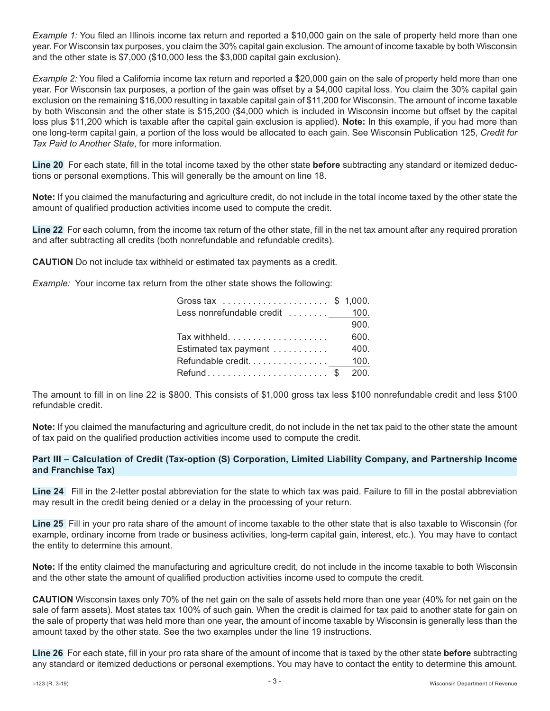*Example 1:* You filed an Illinois income tax return and reported a \$10,000 gain on the sale of property held more than one year. For Wisconsin tax purposes, you claim the 30% capital gain exclusion. The amount of income taxable by both Wisconsin and the other state is \$7,000 (\$10,000 less the \$3,000 capital gain exclusion).

*Example 2:* You filed a California income tax return and reported a \$20,000 gain on the sale of property held more than one year. For Wisconsin tax purposes, a portion of the gain was offset by a \$4,000 capital loss. You claim the 30% capital gain exclusion on the remaining \$16,000 resulting in taxable capital gain of \$11,200 for Wisconsin. The amount of income taxable by both Wisconsin and the other state is \$15,200 (\$4,000 which is included in Wisconsin income but offset by the capital loss plus \$11,200 which is taxable after the capital gain exclusion is applied). **Note:** In this example, if you had more than one long-term capital gain, a portion of the loss would be allocated to each gain. See Wisconsin Publication 125, *Credit for Tax Paid to Another State*, for more information.

**Line 20** For each state, fill in the total income taxed by the other state **before** subtracting any standard or itemized deductions or personal exemptions. This will generally be the amount on line 18.

**Note:** If you claimed the manufacturing and agriculture credit, do not include in the total income taxed by the other state the amount of qualified production activities income used to compute the credit.

**Line 22** For each column, from the income tax return of the other state, fill in the net tax amount after any required proration and after subtracting all credits (both nonrefundable and refundable credits).

**CAUTION** Do not include tax withheld or estimated tax payments as a credit.

*Example:* Your income tax return from the other state shows the following:

| Gross tax \$ 1,000.             |      |
|---------------------------------|------|
| Less nonrefundable credit  100. |      |
|                                 | 900. |
|                                 | 600. |
| Estimated tax payment           | 400. |
| Refundable credit 100.          |      |
| Refund\$ 200.                   |      |
|                                 |      |

The amount to fill in on line 22 is \$800. This consists of \$1,000 gross tax less \$100 nonrefundable credit and less \$100 refundable credit.

**Note:** If you claimed the manufacturing and agriculture credit, do not include in the net tax paid to the other state the amount of tax paid on the qualified production activities income used to compute the credit.

#### **Part III – Calculation of Credit (Tax-option (S) Corporation, Limited Liability Company, and Partnership Income and Franchise Tax)**

**Line 24** Fill in the 2-letter postal abbreviation for the state to which tax was paid. Failure to fill in the postal abbreviation may result in the credit being denied or a delay in the processing of your return.

**Line 25** Fill in your pro rata share of the amount of income taxable to the other state that is also taxable to Wisconsin (for example, ordinary income from trade or business activities, long-term capital gain, interest, etc.). You may have to contact the entity to determine this amount.

**Note:** If the entity claimed the manufacturing and agriculture credit, do not include in the income taxable to both Wisconsin and the other state the amount of qualified production activities income used to compute the credit.

**CAUTION** Wisconsin taxes only 70% of the net gain on the sale of assets held more than one year (40% for net gain on the sale of farm assets). Most states tax 100% of such gain. When the credit is claimed for tax paid to another state for gain on the sale of property that was held more than one year, the amount of income taxable by Wisconsin is generally less than the amount taxed by the other state. See the two examples under the line 19 instructions.

**Line 26** For each state, fill in your pro rata share of the amount of income that is taxed by the other state **before** subtracting any standard or itemized deductions or personal exemptions. You may have to contact the entity to determine this amount.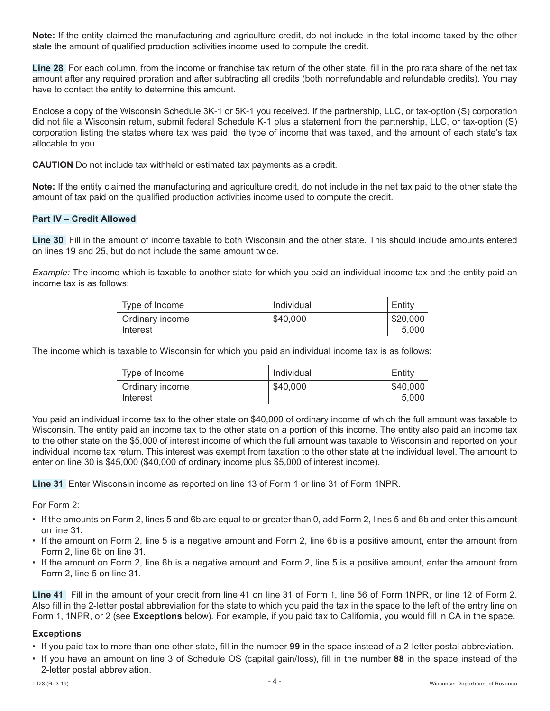**Note:** If the entity claimed the manufacturing and agriculture credit, do not include in the total income taxed by the other state the amount of qualified production activities income used to compute the credit.

**Line 28** For each column, from the income or franchise tax return of the other state, fill in the pro rata share of the net tax amount after any required proration and after subtracting all credits (both nonrefundable and refundable credits). You may have to contact the entity to determine this amount.

Enclose a copy of the Wisconsin Schedule 3K-1 or 5K-1 you received. If the partnership, LLC, or tax-option (S) corporation did not file a Wisconsin return, submit federal Schedule K-1 plus a statement from the partnership, LLC, or tax-option (S) corporation listing the states where tax was paid, the type of income that was taxed, and the amount of each state's tax allocable to you.

**CAUTION** Do not include tax withheld or estimated tax payments as a credit.

**Note:** If the entity claimed the manufacturing and agriculture credit, do not include in the net tax paid to the other state the amount of tax paid on the qualified production activities income used to compute the credit.

### **Part IV – Credit Allowed**

**Line 30** Fill in the amount of income taxable to both Wisconsin and the other state. This should include amounts entered on lines 19 and 25, but do not include the same amount twice.

*Example:* The income which is taxable to another state for which you paid an individual income tax and the entity paid an income tax is as follows:

| Type of Income              | Individual | Entity            |
|-----------------------------|------------|-------------------|
| Ordinary income<br>Interest | \$40,000   | \$20,000<br>5.000 |
|                             |            |                   |

 $\sim$ 

The income which is taxable to Wisconsin for which you paid an individual income tax is as follows:

| Type of Income              | Individual | Entity            |
|-----------------------------|------------|-------------------|
| Ordinary income<br>Interest | \$40,000   | \$40,000<br>5.000 |

You paid an individual income tax to the other state on \$40,000 of ordinary income of which the full amount was taxable to Wisconsin. The entity paid an income tax to the other state on a portion of this income. The entity also paid an income tax to the other state on the \$5,000 of interest income of which the full amount was taxable to Wisconsin and reported on your individual income tax return. This interest was exempt from taxation to the other state at the individual level. The amount to enter on line 30 is \$45,000 (\$40,000 of ordinary income plus \$5,000 of interest income).

**Line 31** Enter Wisconsin income as reported on line 13 of Form 1 or line 31 of Form 1NPR.

For Form 2:

- If the amounts on Form 2, lines 5 and 6b are equal to or greater than 0, add Form 2, lines 5 and 6b and enter this amount on line 31.
- If the amount on Form 2, line 5 is a negative amount and Form 2, line 6b is a positive amount, enter the amount from Form 2, line 6b on line 31.
- If the amount on Form 2, line 6b is a negative amount and Form 2, line 5 is a positive amount, enter the amount from Form 2, line 5 on line 31.

**Line 41** Fill in the amount of your credit from line 41 on line 31 of Form 1, line 56 of Form 1NPR, or line 12 of Form 2. Also fill in the 2-letter postal abbreviation for the state to which you paid the tax in the space to the left of the entry line on Form 1, 1NPR, or 2 (see **Exceptions** below). For example, if you paid tax to California, you would fill in CA in the space.

#### **Exceptions**

- If you paid tax to more than one other state, fill in the number **99** in the space instead of a 2-letter postal abbreviation.
- If you have an amount on line 3 of Schedule OS (capital gain/loss), fill in the number **88** in the space instead of the 2-letter postal abbreviation.